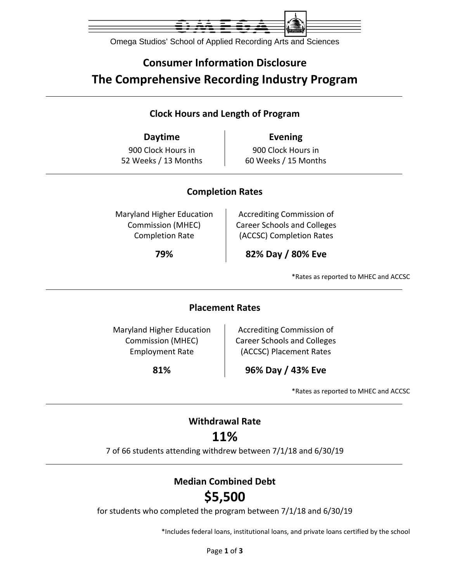

Omega Studios' School of Applied Recording Arts and Sciences

## **Consumer Information Disclosure The Comprehensive Recording Industry Program**

### **Clock Hours and Length of Program**

**Daytime Evening** 900 Clock Hours in 52 Weeks / 13 Months

900 Clock Hours in 60 Weeks / 15 Months

### **Completion Rates**

Maryland Higher Education Commission (MHEC) Completion Rate

Accrediting Commission of Career Schools and Colleges (ACCSC) Completion Rates

**79% 82% Day / 80% Eve**

\*Rates as reported to MHEC and ACCSC

#### **Placement Rates**

Maryland Higher Education Commission (MHEC) Employment Rate

Accrediting Commission of Career Schools and Colleges (ACCSC) Placement Rates

**81% 96% Day / 43% Eve**

\*Rates as reported to MHEC and ACCSC

## **Withdrawal Rate**

## **11%**

7 of 66 students attending withdrew between 7/1/18 and 6/30/19

### **Median Combined Debt**

# **\$5,500**

for students who completed the program between 7/1/18 and 6/30/19

\*Includes federal loans, institutional loans, and private loans certified by the school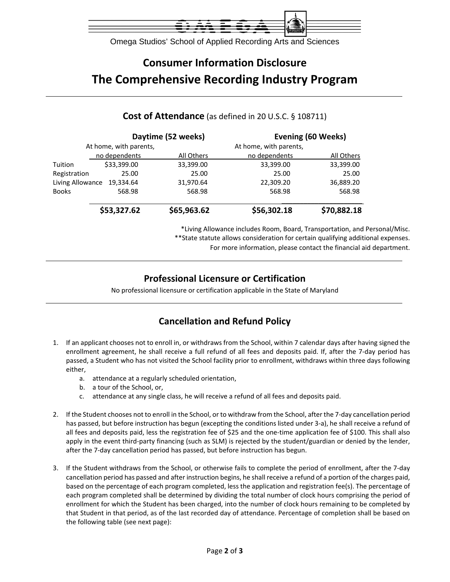

Omega Studios' School of Applied Recording Arts and Sciences

## **Consumer Information Disclosure The Comprehensive Recording Industry Program**

#### **Daytime (52 weeks) Evening (60 Weeks)** At home, with parents, and the metal of the At home, with parents, no dependents All Others no dependents All Others Tuition \$33,399.00 33,399.00 33,399.00 33,399.00 Registration 25.00 25.00 25.00 25.00 Living Allowance 19,334.64 31,970.64 22,309.20 36,889.20 Books 568.98 568.98 568.98 568.98  $\overline{\phantom{a}}$  , and the contract of the contract of the contract of the contract of the contract of the contract of the contract of the contract of the contract of the contract of the contract of the contract of the contrac **\$53,327.62 \$65,963.62 \$56,302.18 \$70,882.18**

#### **Cost of Attendance** (as defined in 20 U.S.C. § 108711)

\*Living Allowance includes Room, Board, Transportation, and Personal/Misc. \*\*State statute allows consideration for certain qualifying additional expenses.

For more information, please contact the financial aid department.

### **Professional Licensure or Certification**

No professional licensure or certification applicable in the State of Maryland

### **Cancellation and Refund Policy**

- 1. If an applicant chooses not to enroll in, or withdraws from the School, within 7 calendar days after having signed the enrollment agreement, he shall receive a full refund of all fees and deposits paid. If, after the 7‐day period has passed, a Student who has not visited the School facility prior to enrollment, withdraws within three days following either,
	- a. attendance at a regularly scheduled orientation,
	- b. a tour of the School, or,
	- c. attendance at any single class, he will receive a refund of all fees and deposits paid.
- 2. If the Student chooses not to enroll in the School, or to withdraw from the School, after the 7‐day cancellation period has passed, but before instruction has begun (excepting the conditions listed under 3‐a), he shall receive a refund of all fees and deposits paid, less the registration fee of \$25 and the one‐time application fee of \$100. This shall also apply in the event third-party financing (such as SLM) is rejected by the student/guardian or denied by the lender, after the 7‐day cancellation period has passed, but before instruction has begun.
- 3. If the Student withdraws from the School, or otherwise fails to complete the period of enrollment, after the 7‐day cancellation period has passed and after instruction begins, he shall receive a refund of a portion of the charges paid, based on the percentage of each program completed, less the application and registration fee(s). The percentage of each program completed shall be determined by dividing the total number of clock hours comprising the period of enrollment for which the Student has been charged, into the number of clock hours remaining to be completed by that Student in that period, as of the last recorded day of attendance. Percentage of completion shall be based on the following table (see next page):